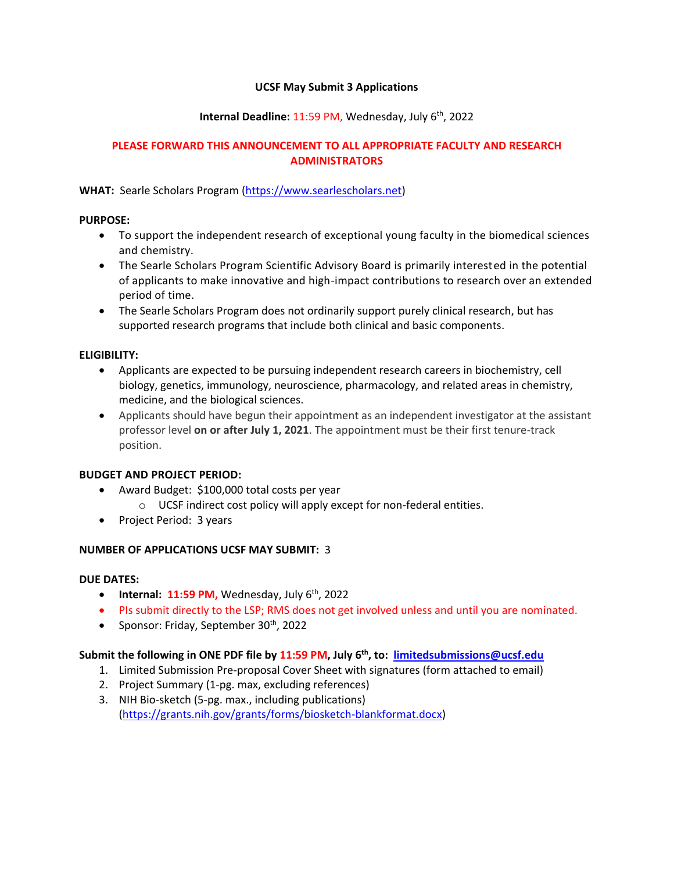### **UCSF May Submit 3 Applications**

# **Internal Deadline:** 11:59 PM, Wednesday, July 6th, 2022

## **PLEASE FORWARD THIS ANNOUNCEMENT TO ALL APPROPRIATE FACULTY AND RESEARCH ADMINISTRATORS**

# **WHAT:** Searle Scholars Program [\(https://www.searlescholars.net\)](https://www.searlescholars.net/competition/award-information)

#### **PURPOSE:**

- To support the independent research of exceptional young faculty in the biomedical sciences and chemistry.
- The Searle Scholars Program Scientific Advisory Board is primarily interested in the potential of applicants to make innovative and high-impact contributions to research over an extended period of time.
- The Searle Scholars Program does not ordinarily support purely clinical research, but has supported research programs that include both clinical and basic components.

# **ELIGIBILITY:**

- Applicants are expected to be pursuing independent research careers in biochemistry, cell biology, genetics, immunology, neuroscience, pharmacology, and related areas in chemistry, medicine, and the biological sciences.
- Applicants should have begun their appointment as an independent investigator at the assistant professor level **on or after July 1, 2021**. The appointment must be their first tenure-track position.

#### **BUDGET AND PROJECT PERIOD:**

- Award Budget: \$100,000 total costs per year
	- o UCSF indirect cost policy will apply except for non-federal entities.
- Project Period: 3 years

# **NUMBER OF APPLICATIONS UCSF MAY SUBMIT:** 3

#### **DUE DATES:**

- **•** Internal:  $11:59 \text{ PM}$ , Wednesday, July  $6^{\text{th}}$ , 2022
- PIs submit directly to the LSP; RMS does not get involved unless and until you are nominated.
- Sponsor: Friday, September  $30<sup>th</sup>$ , 2022

# **Submit the following in ONE PDF file by 11:59 PM, July 6th , to: [limitedsubmissions@ucsf.edu](mailto:limitedsubmissions@ucsf.edu)**

- 1. Limited Submission Pre-proposal Cover Sheet with signatures (form attached to email)
- 2. Project Summary (1-pg. max, excluding references)
- 3. NIH Bio-sketch (5-pg. max., including publications) [\(https://grants.nih.gov/grants/forms/biosketch-blankformat.docx\)](https://grants.nih.gov/grants/forms/biosketch-blankformat.docx)